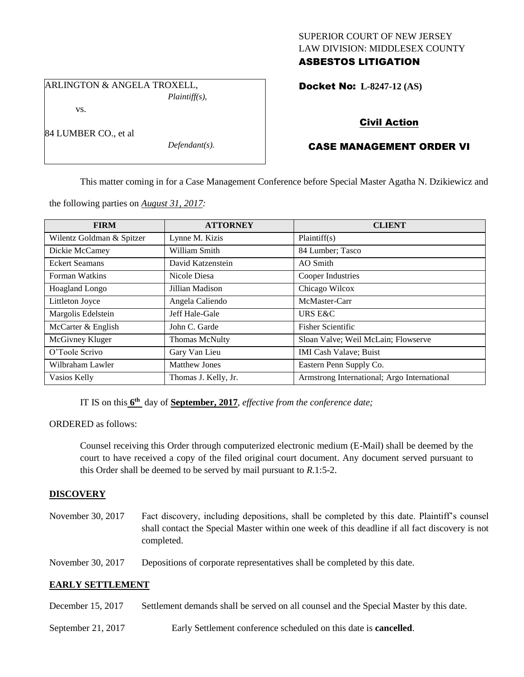## SUPERIOR COURT OF NEW JERSEY LAW DIVISION: MIDDLESEX COUNTY ASBESTOS LITIGATION

ARLINGTON & ANGELA TROXELL,

*Plaintiff(s),*

vs.

84 LUMBER CO., et al

*Defendant(s).*

Docket No: **L-8247-12 (AS)** 

# Civil Action

# CASE MANAGEMENT ORDER VI

This matter coming in for a Case Management Conference before Special Master Agatha N. Dzikiewicz and

the following parties on *August 31, 2017:*

| <b>FIRM</b>               | <b>ATTORNEY</b>      | <b>CLIENT</b>                               |
|---------------------------|----------------------|---------------------------------------------|
| Wilentz Goldman & Spitzer | Lynne M. Kizis       | Plaintiff(s)                                |
| Dickie McCamey            | William Smith        | 84 Lumber; Tasco                            |
| <b>Eckert Seamans</b>     | David Katzenstein    | AO Smith                                    |
| Forman Watkins            | Nicole Diesa         | Cooper Industries                           |
| <b>Hoagland Longo</b>     | Jillian Madison      | Chicago Wilcox                              |
| Littleton Joyce           | Angela Caliendo      | McMaster-Carr                               |
| Margolis Edelstein        | Jeff Hale-Gale       | URS E&C                                     |
| McCarter & English        | John C. Garde        | <b>Fisher Scientific</b>                    |
| McGivney Kluger           | Thomas McNulty       | Sloan Valve; Weil McLain; Flowserve         |
| O'Toole Scrivo            | Gary Van Lieu        | <b>IMI Cash Valave</b> ; Buist              |
| Wilbraham Lawler          | <b>Matthew Jones</b> | Eastern Penn Supply Co.                     |
| Vasios Kelly              | Thomas J. Kelly, Jr. | Armstrong International; Argo International |

IT IS on this  $6^{\text{th}}$  day of **September, 2017**, *effective from the conference date*;

ORDERED as follows:

Counsel receiving this Order through computerized electronic medium (E-Mail) shall be deemed by the court to have received a copy of the filed original court document. Any document served pursuant to this Order shall be deemed to be served by mail pursuant to *R*.1:5-2.

## **DISCOVERY**

November 30, 2017 Fact discovery, including depositions, shall be completed by this date. Plaintiff's counsel shall contact the Special Master within one week of this deadline if all fact discovery is not completed.

November 30, 2017 Depositions of corporate representatives shall be completed by this date.

## **EARLY SETTLEMENT**

- December 15, 2017 Settlement demands shall be served on all counsel and the Special Master by this date.
- September 21, 2017 Early Settlement conference scheduled on this date is **cancelled**.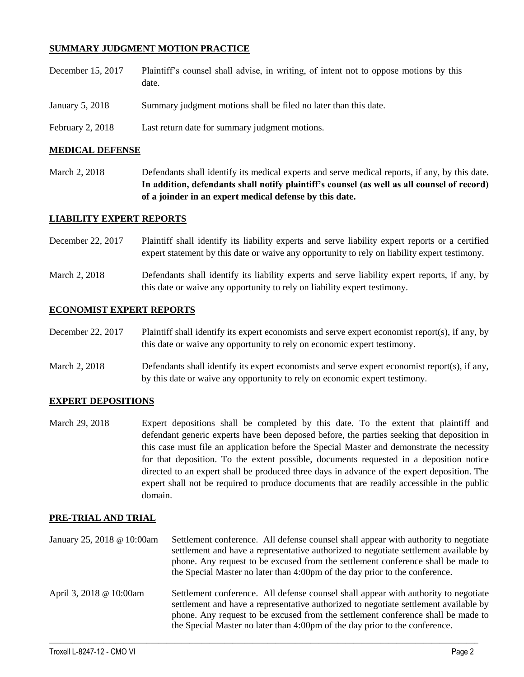## **SUMMARY JUDGMENT MOTION PRACTICE**

- December 15, 2017 Plaintiff's counsel shall advise, in writing, of intent not to oppose motions by this date.
- January 5, 2018 Summary judgment motions shall be filed no later than this date.
- February 2, 2018 Last return date for summary judgment motions.

### **MEDICAL DEFENSE**

March 2, 2018 Defendants shall identify its medical experts and serve medical reports, if any, by this date. **In addition, defendants shall notify plaintiff's counsel (as well as all counsel of record) of a joinder in an expert medical defense by this date.**

### **LIABILITY EXPERT REPORTS**

- December 22, 2017 Plaintiff shall identify its liability experts and serve liability expert reports or a certified expert statement by this date or waive any opportunity to rely on liability expert testimony.
- March 2, 2018 Defendants shall identify its liability experts and serve liability expert reports, if any, by this date or waive any opportunity to rely on liability expert testimony.

### **ECONOMIST EXPERT REPORTS**

- December 22, 2017 Plaintiff shall identify its expert economists and serve expert economist report(s), if any, by this date or waive any opportunity to rely on economic expert testimony.
- March 2, 2018 Defendants shall identify its expert economists and serve expert economist report(s), if any, by this date or waive any opportunity to rely on economic expert testimony.

### **EXPERT DEPOSITIONS**

March 29, 2018 Expert depositions shall be completed by this date. To the extent that plaintiff and defendant generic experts have been deposed before, the parties seeking that deposition in this case must file an application before the Special Master and demonstrate the necessity for that deposition. To the extent possible, documents requested in a deposition notice directed to an expert shall be produced three days in advance of the expert deposition. The expert shall not be required to produce documents that are readily accessible in the public domain.

#### **PRE-TRIAL AND TRIAL**

January 25, 2018 @ 10:00am Settlement conference. All defense counsel shall appear with authority to negotiate settlement and have a representative authorized to negotiate settlement available by phone. Any request to be excused from the settlement conference shall be made to the Special Master no later than 4:00pm of the day prior to the conference. April 3, 2018 @ 10:00am Settlement conference. All defense counsel shall appear with authority to negotiate settlement and have a representative authorized to negotiate settlement available by phone. Any request to be excused from the settlement conference shall be made to the Special Master no later than 4:00pm of the day prior to the conference.

 $\_$  ,  $\_$  ,  $\_$  ,  $\_$  ,  $\_$  ,  $\_$  ,  $\_$  ,  $\_$  ,  $\_$  ,  $\_$  ,  $\_$  ,  $\_$  ,  $\_$  ,  $\_$  ,  $\_$  ,  $\_$  ,  $\_$  ,  $\_$  ,  $\_$  ,  $\_$  ,  $\_$  ,  $\_$  ,  $\_$  ,  $\_$  ,  $\_$  ,  $\_$  ,  $\_$  ,  $\_$  ,  $\_$  ,  $\_$  ,  $\_$  ,  $\_$  ,  $\_$  ,  $\_$  ,  $\_$  ,  $\_$  ,  $\_$  ,